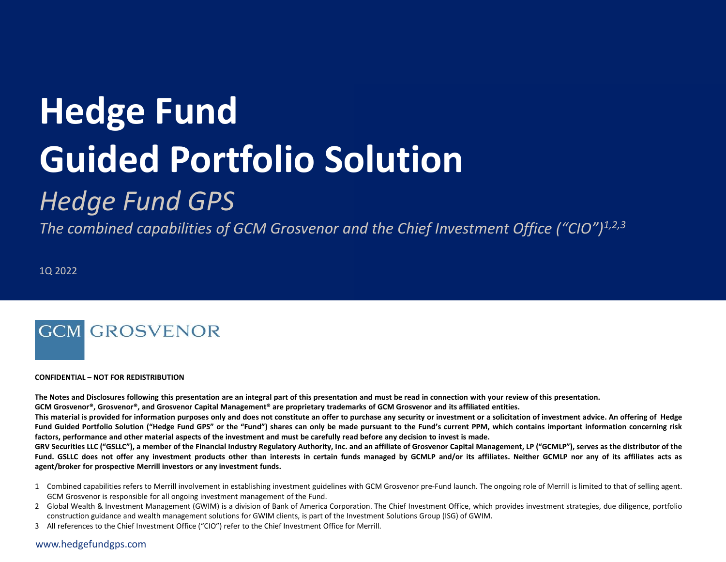# **Hedge Fund Guided Portfolio Solution**

## *Hedge Fund GPS*

*The combined capabilities of GCM Grosvenor and the Chief Investment Office ("CIO")1,2,3*

1Q 2022

## **GCM GROSVENOR**

#### **CONFIDENTIAL – NOT FOR REDISTRIBUTION**

The Notes and Disclosures following this presentation are an integral part of this presentation and must be read in connection with your review of this presentation.

GCM Grosvenor®, Grosvenor®, and Grosvenor Capital Management® are proprietary trademarks of GCM Grosvenor and its affiliated entities.

This material is provided for information purposes only and does not constitute an offer to purchase any security or investment or a solicitation of investment advice. An offering of Hedge Fund Guided Portfolio Solution ("Hedge Fund GPS" or the "Fund") shares can only be made pursuant to the Fund's current PPM, which contains important information concerning risk factors, performance and other material aspects of the investment and must be carefully read before any decision to invest is made.

GRV Securities LLC ("GSLLC"), a member of the Financial Industry Regulatory Authority, Inc. and an affiliate of Grosvenor Capital Management, LP ("GCMLP"), serves as the distributor of the Fund. GSLLC does not offer any investment products other than interests in certain funds managed by GCMLP and/or its affiliates. Neither GCMLP nor any of its affiliates acts as **agent/broker for prospective Merrill investors or any investment funds.**

- 1 Combined capabilities refers to Merrill involvement in establishing investment guidelines with GCM Grosvenor pre-Fund launch. The ongoing role of Merrill is limited to that of selling agent. GCM Grosvenor is responsible for all ongoing investment management of the Fund.
- 2 Global Wealth & Investment Management (GWIM) is a division of Bank of America Corporation. The Chief Investment Office, which provides investment strategies, due diligence, portfolio construction guidance and wealth management solutions for GWIM clients, is part of the Investment Solutions Group (ISG) of GWIM.
- 3 All references to the Chief Investment Office ("CIO") refer to the Chief Investment Office for Merrill.

www.hedgefundgps.com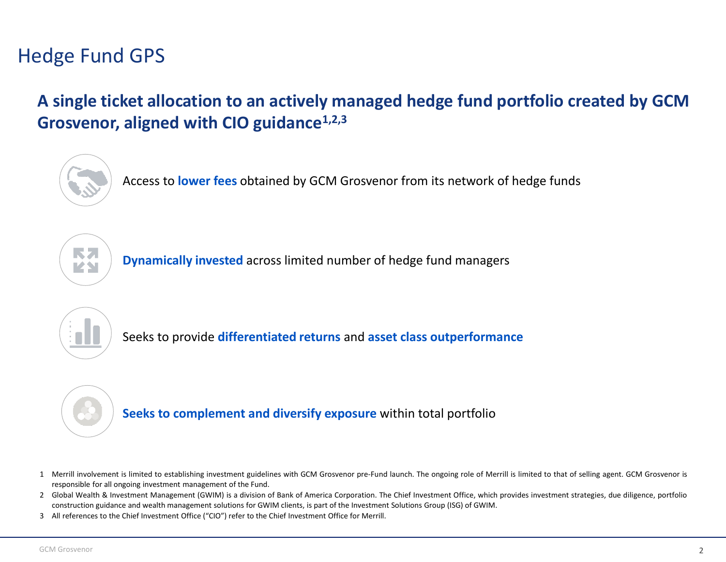## Hedge Fund GPS

**A single ticket allocation to an actively managed hedge fund portfolio created by GCM Grosvenor, aligned with CIO guidance1,2,3**



Access to **lower fees** obtained by GCM Grosvenor from its network of hedge funds



**Dynamically invested** across limited number of hedge fund managers



Seeks to provide **differentiated returns** and **asset class outperformance**



**Seeks to complement and diversify exposure** within total portfolio

- 1 Merrill involvement is limited to establishing investment guidelines with GCM Grosvenor pre-Fund launch. The ongoing role of Merrill is limited to that of selling agent. GCM Grosvenor is responsible for all ongoing investment management of the Fund.
- 2 Global Wealth & Investment Management (GWIM) is a division of Bank of America Corporation. The Chief Investment Office, which provides investment strategies, due diligence, portfolio construction guidance and wealth management solutions for GWIM clients, is part of the Investment Solutions Group (ISG) of GWIM.
- 3 All references to the Chief Investment Office ("CIO") refer to the Chief Investment Office for Merrill.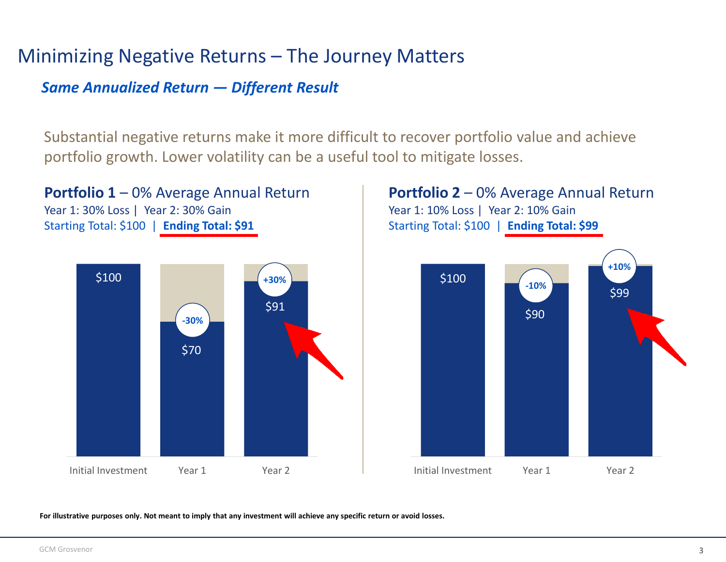#### Minimizing Negative Returns – The Journey Matters

#### *Same Annualized Return — Different Result*

Substantial negative returns make it more difficult to recover portfolio value and achieve portfolio growth. Lower volatility can be a useful tool to mitigate losses.





Year 1: 10% Loss | Year 2: 10% Gain Starting Total: \$100 | **Ending Total: \$99**



For illustrative purposes only. Not meant to imply that any investment will achieve any specific return or avoid losses.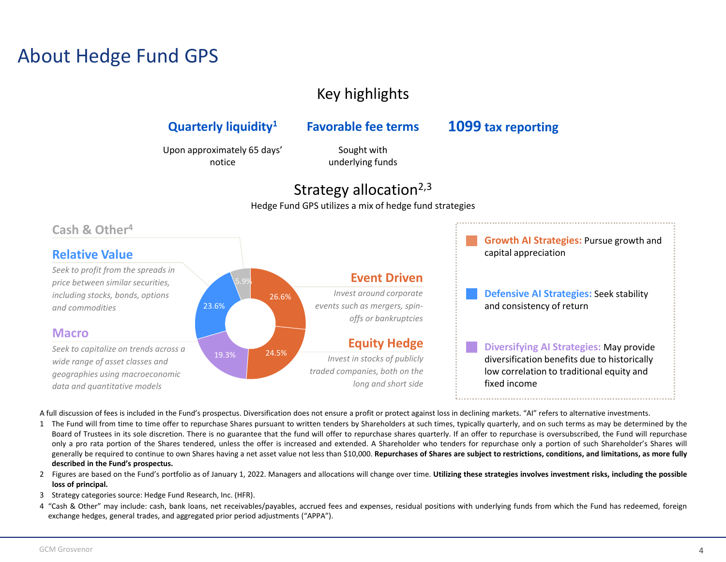#### About Hedge Fund GPS

#### Key highlights

#### **Quarterly liquidity<sup>1</sup> Favorable fee terms 1099 tax reporting**

Upon approximately 65 days' notice

Sought with underlying funds

#### Strategy allocation $2,3$

Hedge Fund GPS utilizes a mix of hedge fund strategies



A full discussion of fees is included in the Fund's prospectus. Diversification does not ensure a profit or protect against loss in declining markets. "AI" refers to alternative investments.

- 1 The Fund will from time to time offer to repurchase Shares pursuant to written tenders by Shareholders at such times, typically quarterly, and on such terms as may be determined by the Board of Trustees in its sole discretion. There is no guarantee that the fund will offer to repurchase shares quarterly. If an offer to repurchase is oversubscribed, the Fund will repurchase only a pro rata portion of the Shares tendered, unless the offer is increased and extended. A Shareholder who tenders for repurchase only a portion of such Shareholder's Shares will generally be required to continue to own Shares having a net asset value not less than \$10,000. Repurchases of Shares are subject to restrictions, conditions, and limitations, as more fully **described in the Fund's prospectus.**
- 2 Figures are based on the Fund's portfolio as of January 1, 2022. Managers and allocations will change over time. Utilizing these strategies involves investment risks, including the possible **loss of principal.**
- 3 Strategy categories source: Hedge Fund Research, Inc. (HFR).
- 4 "Cash & Other" may include: cash, bank loans, net receivables/payables, accrued fees and expenses, residual positions with underlying funds from which the Fund has redeemed, foreign exchange hedges, general trades, and aggregated prior period adjustments ("APPA").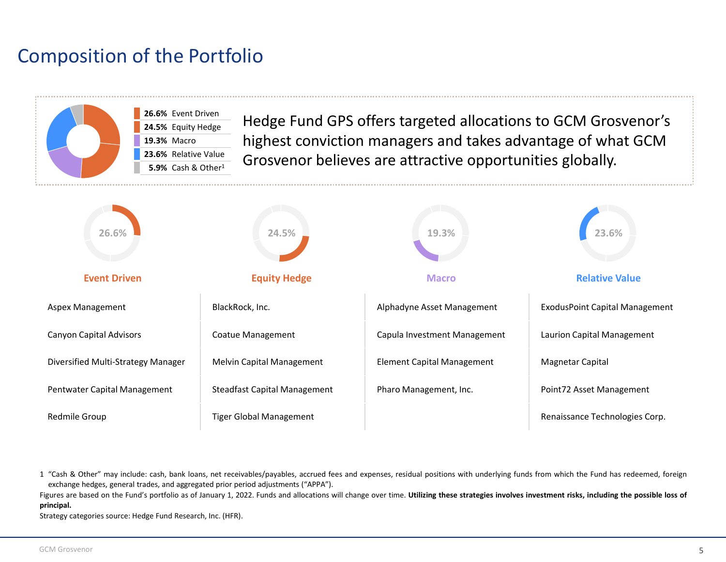### Composition of the Portfolio



1 "Cash & Other" may include: cash, bank loans, net receivables/payables, accrued fees and expenses, residual positions with underlying funds from which the Fund has redeemed, foreign exchange hedges, general trades, and aggregated prior period adjustments ("APPA").

Figures are based on the Fund's portfolio as of January 1, 2022. Funds and allocations will change over time. Utilizing these strategies involves investment risks, including the possible loss of **principal.**

Strategy categories source: Hedge Fund Research, Inc. (HFR).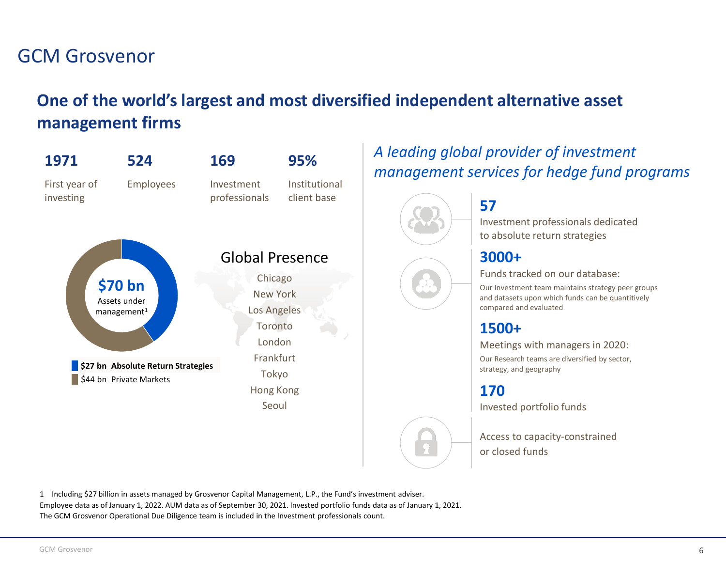#### GCM Grosvenor

#### **One of the world's largest and most diversified independent alternative asset management firms**



#### *A leading global provider of investment management services for hedge fund programs*



Investment professionals dedicated to absolute return strategies

#### **3000+**

Funds tracked on our database:

Our Investment team maintains strategy peer groups and datasets upon which funds can be quantitively compared and evaluated

#### **1500+**

Meetings with managers in 2020:

Our Research teams are diversified by sector, strategy, and geography

**170**

Invested portfolio funds

Access to capacity-constrained or closed funds

1 Including \$27 billion in assets managed by Grosvenor Capital Management, L.P., the Fund's investment adviser. Employee data as of January 1, 2022. AUM data as of September 30, 2021. Invested portfolio funds data as of January 1, 2021. The GCM Grosvenor Operational Due Diligence team is included in the Investment professionals count.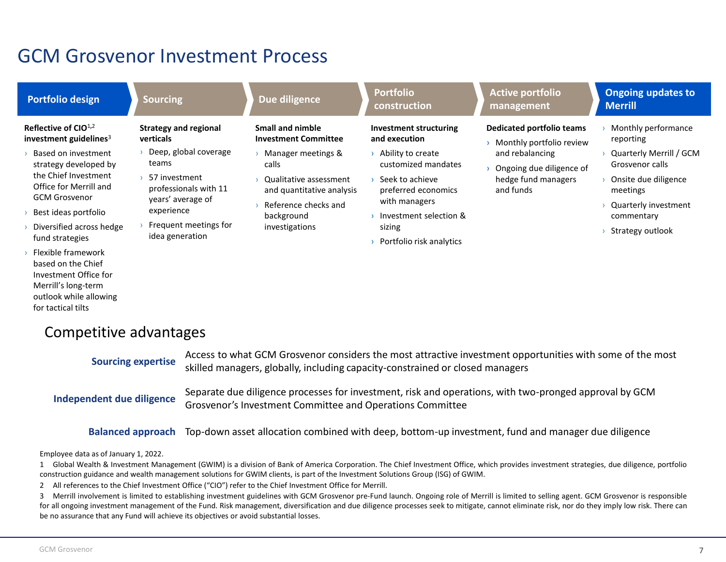#### GCM Grosvenor Investment Process

#### **Portfolio design Sourcing Sourcing Bullet Controller Sourcing Portfolio Bullet Controller Bullet Controller Bullet Controller Bullet Controller Bullet Controller Bullet Controller Bullet Controller Bullet Controller Bulle construction Active portfolio management Ongoing updates to Merrill Reflective of CIO**<sup>1</sup>**,**<sup>2</sup> **investment guidelines**<sup>3</sup> › Based on investment strategy developed by the Chief Investment Office for Merrill and **Strategy and regional verticals** › Deep, global coverage teams › 57 investment **Small and nimble Investment Committee** › Manager meetings & calls › Qualitative assessment **Investment structuring and execution** › Ability to create customized mandates › Seek to achieve **Dedicated portfolio teams** › Monthly portfolio review and rebalancing › Ongoing due diligence of hedge fund managers and funds › Monthly performance reporting › Quarterly Merrill / GCM Grosvenor calls › Onsite due diligence meetings

- › Quarterly investment commentary
- › Strategy outlook
- GCM Grosvenor
- › Best ideas portfolio
- › Diversified across hedge fund strategies
- › Flexible framework based on the Chief Investment Office for Merrill's long-term outlook while allowing for tactical tilts
- professionals with 11 years' average of experience
- $\rightarrow$  Frequent meetings for idea generation
- and quantitative analysis
- › Reference checks and background investigations
- preferred economics with managers
- › Investment selection & sizing
- › Portfolio risk analytics

#### Competitive advantages

**Independent due diligence** Separate due diligence processes for investment, risk and operations, with two-pronged approval by GCM Grosvenor's Investment Committee and Operations Committee Access to what GCM Grosvenor considers the most attractive investment opportunities with some of the most skilled managers, globally, including capacity-constrained or closed managers **Sourcing expertise**

**Balanced approach** Top-down asset allocation combined with deep, bottom-up investment, fund and manager due diligence

Employee data as of January 1, 2022.

1 Global Wealth & Investment Management (GWIM) is a division of Bank of America Corporation. The Chief Investment Office, which provides investment strategies, due diligence, portfolio construction guidance and wealth management solutions for GWIM clients, is part of the Investment Solutions Group (ISG) of GWIM.

2 All references to the Chief Investment Office ("CIO") refer to the Chief Investment Office for Merrill.

3 Merrill involvement is limited to establishing investment guidelines with GCM Grosvenor pre-Fund launch. Ongoing role of Merrill is limited to selling agent. GCM Grosvenor is responsible for all ongoing investment management of the Fund. Risk management, diversification and due diligence processes seek to mitigate, cannot eliminate risk, nor do they imply low risk. There can be no assurance that any Fund will achieve its objectives or avoid substantial losses.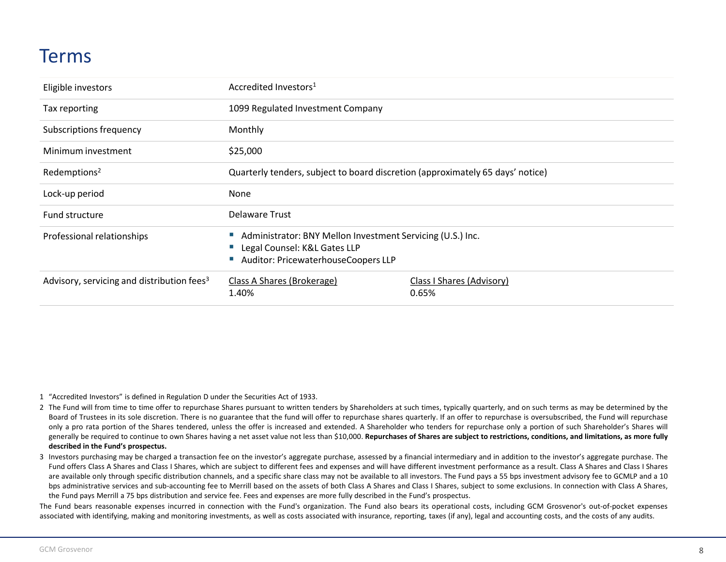#### Terms

| Eligible investors                                     | Accredited Investors <sup>1</sup>                                                                                                 |                                    |
|--------------------------------------------------------|-----------------------------------------------------------------------------------------------------------------------------------|------------------------------------|
| Tax reporting                                          | 1099 Regulated Investment Company                                                                                                 |                                    |
| Subscriptions frequency                                | Monthly                                                                                                                           |                                    |
| Minimum investment                                     | \$25,000                                                                                                                          |                                    |
| Redemptions <sup>2</sup>                               | Quarterly tenders, subject to board discretion (approximately 65 days' notice)                                                    |                                    |
| Lock-up period                                         | None                                                                                                                              |                                    |
| Fund structure                                         | <b>Delaware Trust</b>                                                                                                             |                                    |
| Professional relationships                             | Administrator: BNY Mellon Investment Servicing (U.S.) Inc.<br>Legal Counsel: K&L Gates LLP<br>Auditor: PricewaterhouseCoopers LLP |                                    |
| Advisory, servicing and distribution fees <sup>3</sup> | Class A Shares (Brokerage)<br>1.40%                                                                                               | Class I Shares (Advisory)<br>0.65% |

1 "Accredited Investors" is defined in Regulation D under the Securities Act of 1933.

- 2 The Fund will from time to time offer to repurchase Shares pursuant to written tenders by Shareholders at such times, typically quarterly, and on such terms as may be determined by the Board of Trustees in its sole discretion. There is no guarantee that the fund will offer to repurchase shares quarterly. If an offer to repurchase is oversubscribed, the Fund will repurchase only a pro rata portion of the Shares tendered, unless the offer is increased and extended. A Shareholder who tenders for repurchase only a portion of such Shareholder's Shares will generally be required to continue to own Shares having a net asset value not less than \$10,000. Repurchases of Shares are subject to restrictions, conditions, and limitations, as more fully **described in the Fund's prospectus.**
- 3 Investors purchasing may be charged a transaction fee on the investor's aggregate purchase, assessed by a financial intermediary and in addition to the investor's aggregate purchase. The Fund offers Class A Shares and Class I Shares, which are subject to different fees and expenses and will have different investment performance as a result. Class A Shares and Class I Shares are available only through specific distribution channels, and a specific share class may not be available to all investors. The Fund pays a 55 bps investment advisory fee to GCMLP and a 10 bps administrative services and sub-accounting fee to Merrill based on the assets of both Class A Shares and Class I Shares, subject to some exclusions. In connection with Class A Shares, the Fund pays Merrill a 75 bps distribution and service fee. Fees and expenses are more fully described in the Fund's prospectus.

The Fund bears reasonable expenses incurred in connection with the Fund's organization. The Fund also bears its operational costs, including GCM Grosvenor's out-of-pocket expenses associated with identifying, making and monitoring investments, as well as costs associated with insurance, reporting, taxes (if any), legal and accounting costs, and the costs of any audits.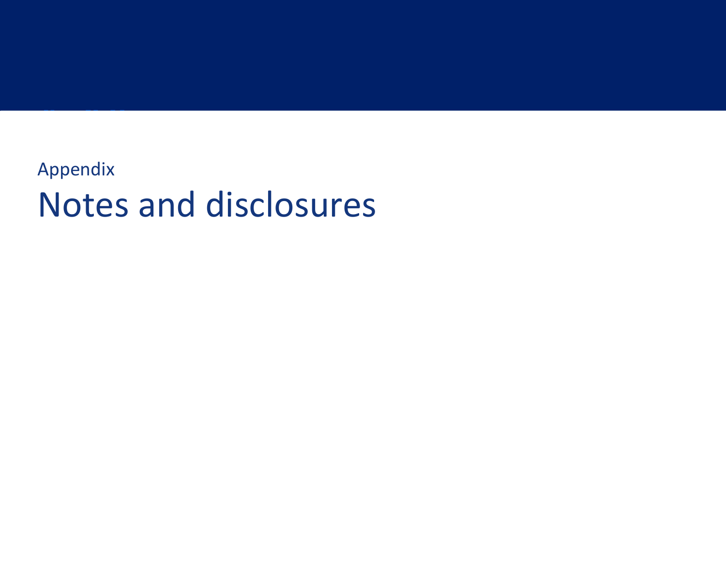## Appendix Notes and disclosures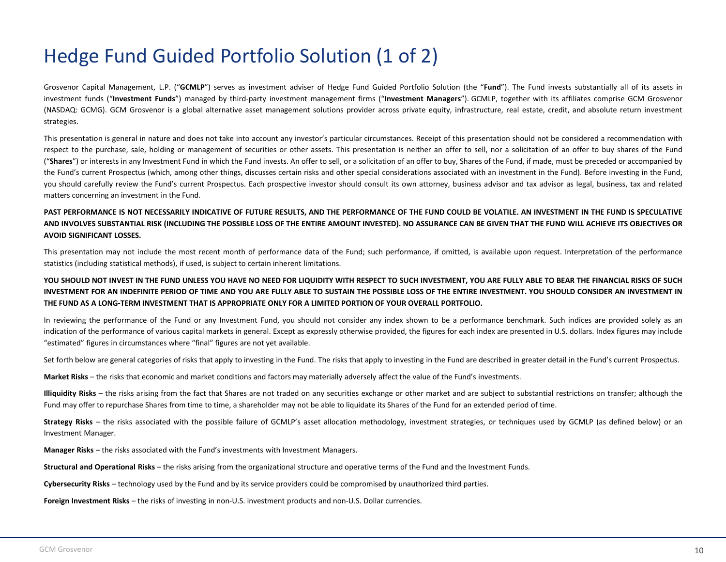### Hedge Fund Guided Portfolio Solution (1 of 2)

Grosvenor Capital Management, L.P. ("**GCMLP**") serves as investment adviser of Hedge Fund Guided Portfolio Solution (the "**Fund**"). The Fund invests substantially all of its assets in investment funds ("**Investment Funds**") managed by third-party investment management firms ("**Investment Managers**"). GCMLP, together with its affiliates comprise GCM Grosvenor (NASDAQ: GCMG). GCM Grosvenor is a global alternative asset management solutions provider across private equity, infrastructure, real estate, credit, and absolute return investment strategies.

This presentation is general in nature and does not take into account any investor's particular circumstances. Receipt of this presentation should not be considered a recommendation with respect to the purchase, sale, holding or management of securities or other assets. This presentation is neither an offer to sell, nor a solicitation of an offer to buy shares of the Fund ("**Shares**") or interests in any Investment Fund in which the Fund invests. An offer to sell, or a solicitation of an offer to buy, Shares of the Fund, if made, must be preceded or accompanied by the Fund's current Prospectus (which, among other things, discusses certain risks and other special considerations associated with an investment in the Fund). Before investing in the Fund, you should carefully review the Fund's current Prospectus. Each prospective investor should consult its own attorney, business advisor and tax advisor as legal, business, tax and related matters concerning an investment in the Fund.

#### PAST PERFORMANCE IS NOT NECESSARILY INDICATIVE OF FUTURE RESULTS, AND THE PERFORMANCE OF THE FUND COULD BE VOLATILE. AN INVESTMENT IN THE FUND IS SPECULATIVE AND INVOLVES SUBSTANTIAL RISK (INCLUDING THE POSSIBLE LOSS OF THE ENTIRE AMOUNT INVESTED). NO ASSURANCE CAN BE GIVEN THAT THE FUND WILL ACHIEVE ITS OBJECTIVES OR **AVOID SIGNIFICANT LOSSES.**

This presentation may not include the most recent month of performance data of the Fund; such performance, if omitted, is available upon request. Interpretation of the performance statistics (including statistical methods), if used, is subject to certain inherent limitations.

#### YOU SHOULD NOT INVEST IN THE FUND UNLESS YOU HAVE NO NEED FOR LIQUIDITY WITH RESPECT TO SUCH INVESTMENT, YOU ARE FULLY ABLE TO BEAR THE FINANCIAL RISKS OF SUCH INVESTMENT FOR AN INDEFINITE PERIOD OF TIME AND YOU ARE FULLY ABLE TO SUSTAIN THE POSSIBLE LOSS OF THE ENTIRE INVESTMENT. YOU SHOULD CONSIDER AN INVESTMENT IN THE FUND AS A LONG-TERM INVESTMENT THAT IS APPROPRIATE ONLY FOR A LIMITED PORTION OF YOUR OVERALL PORTFOLIO.

In reviewing the performance of the Fund or any Investment Fund, you should not consider any index shown to be a performance benchmark. Such indices are provided solely as an indication of the performance of various capital markets in general. Except as expressly otherwise provided, the figures for each index are presented in U.S. dollars. Index figures may include "estimated" figures in circumstances where "final" figures are not yet available.

Set forth below are general categories of risks that apply to investing in the Fund. The risks that apply to investing in the Fund are described in greater detail in the Fund's current Prospectus.

**Market Risks** – the risks that economic and market conditions and factors may materially adversely affect the value of the Fund's investments.

**Illiquidity Risks** – the risks arising from the fact that Shares are not traded on any securities exchange or other market and are subject to substantial restrictions on transfer; although the Fund may offer to repurchase Shares from time to time, a shareholder may not be able to liquidate its Shares of the Fund for an extended period of time.

Strategy Risks – the risks associated with the possible failure of GCMLP's asset allocation methodology, investment strategies, or techniques used by GCMLP (as defined below) or an Investment Manager.

**Manager Risks** – the risks associated with the Fund's investments with Investment Managers.

**Structural and Operational Risks** – the risks arising from the organizational structure and operative terms of the Fund and the Investment Funds.

**Cybersecurity Risks** – technology used by the Fund and by its service providers could be compromised by unauthorized third parties.

**Foreign Investment Risks** – the risks of investing in non-U.S. investment products and non-U.S. Dollar currencies.